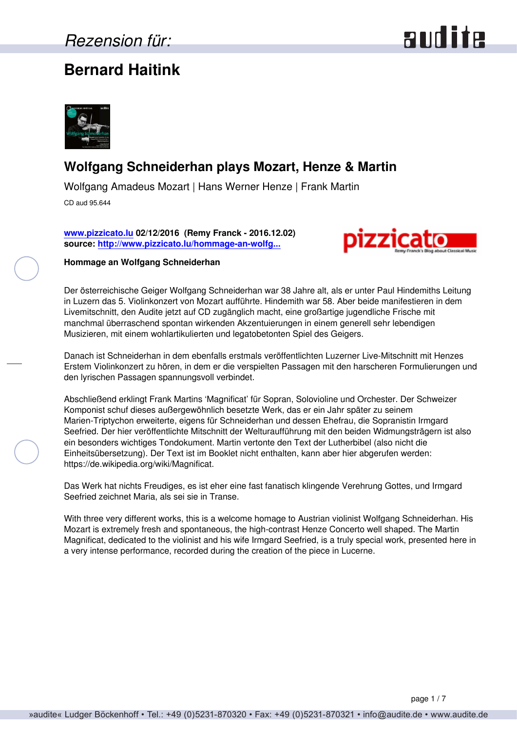### **Bernard Haitink**





### **Wolfgang Schneiderhan plays Mozart, Henze & Martin**

Wolfgang Amadeus Mozart | Hans Werner Henze | Frank Martin

CD aud 95.644

**[www.pizzicato.lu](http://www.pizzicato.lu) 02/12/2016 (Remy Franck - 2016.12.02) source: [http://www.pizzicato.lu/hommage-an-wolfg...](http://www.pizzicato.lu/hommage-an-wolfgang-schneiderhan/)**



#### **Hommage an Wolfgang Schneiderhan**

Der österreichische Geiger Wolfgang Schneiderhan war 38 Jahre alt, als er unter Paul Hindemiths Leitung in Luzern das 5. Violinkonzert von Mozart aufführte. Hindemith war 58. Aber beide manifestieren in dem Livemitschnitt, den Audite jetzt auf CD zugänglich macht, eine großartige jugendliche Frische mit manchmal überraschend spontan wirkenden Akzentuierungen in einem generell sehr lebendigen Musizieren, mit einem wohlartikulierten und legatobetonten Spiel des Geigers.

Danach ist Schneiderhan in dem ebenfalls erstmals veröffentlichten Luzerner Live-Mitschnitt mit Henzes Erstem Violinkonzert zu hören, in dem er die verspielten Passagen mit den harscheren Formulierungen und den lyrischen Passagen spannungsvoll verbindet.

Abschließend erklingt Frank Martins 'Magnificat' für Sopran, Solovioline und Orchester. Der Schweizer Komponist schuf dieses außergewöhnlich besetzte Werk, das er ein Jahr später zu seinem Marien-Triptychon erweiterte, eigens für Schneiderhan und dessen Ehefrau, die Sopranistin Irmgard Seefried. Der hier veröffentlichte Mitschnitt der Welturaufführung mit den beiden Widmungsträgern ist also ein besonders wichtiges Tondokument. Martin vertonte den Text der Lutherbibel (also nicht die Einheitsübersetzung). Der Text ist im Booklet nicht enthalten, kann aber hier abgerufen werden: https://de.wikipedia.org/wiki/Magnificat.

Das Werk hat nichts Freudiges, es ist eher eine fast fanatisch klingende Verehrung Gottes, und Irmgard Seefried zeichnet Maria, als sei sie in Transe.

With three very different works, this is a welcome homage to Austrian violinist Wolfgang Schneiderhan. His Mozart is extremely fresh and spontaneous, the high-contrast Henze Concerto well shaped. The Martin Magnificat, dedicated to the violinist and his wife Irmgard Seefried, is a truly special work, presented here in a very intense performance, recorded during the creation of the piece in Lucerne.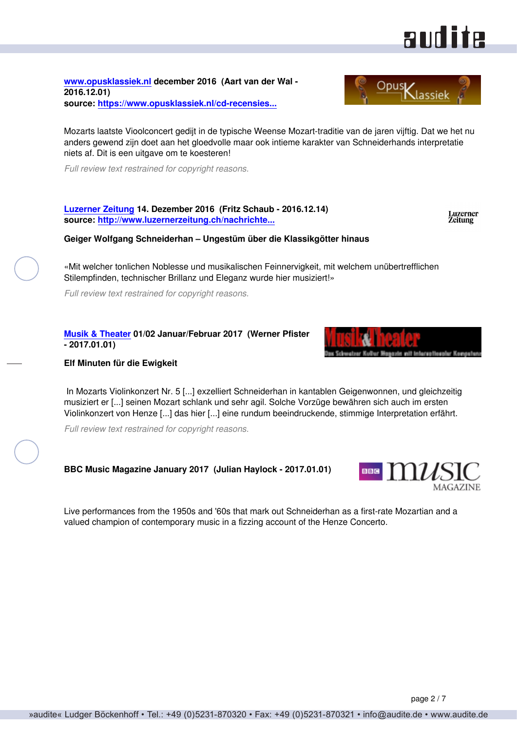#### page 2 / 7

**[www.opusklassiek.nl](http://www.opusklassiek.nl) december 2016 (Aart van der Wal - 2016.12.01) source: [https://www.opusklassiek.nl/cd-recensies...](https://www.opusklassiek.nl/cd-recensies/cd-aw/henze02.htm)**

Mozarts laatste Vioolconcert gedijt in de typische Weense Mozart-traditie van de jaren vijftig. Dat we het nu anders gewend zijn doet aan het gloedvolle maar ook intieme karakter van Schneiderhands interpretatie niets af. Dit is een uitgave om te koesteren!

*Full review text restrained for copyright reasons.*

**[Luzerner Zeitung](http://www.luzernerzeitung.ch) 14. Dezember 2016 (Fritz Schaub - 2016.12.14) source: [http://www.luzernerzeitung.ch/nachrichte...](http://www.luzernerzeitung.ch/nachrichten/kultur/Ungestuem-ueber-die-Klassikgoetter-hinaus;art9643,917209)**

**Geiger Wolfgang Schneiderhan – Ungestüm über die Klassikgötter hinaus**

«Mit welcher tonlichen Noblesse und musikalischen Feinnervigkeit, mit welchem unübertrefflichen Stilempfinden, technischer Brillanz und Eleganz wurde hier musiziert!»

*Full review text restrained for copyright reasons.*

**[Musik & Theater](http://www.musikundtheater.ch) 01/02 Januar/Februar 2017 (Werner Pfister - 2017.01.01)**

#### **Elf Minuten für die Ewigkeit**

 In Mozarts Violinkonzert Nr. 5 [...] exzelliert Schneiderhan in kantablen Geigenwonnen, und gleichzeitig musiziert er [...] seinen Mozart schlank und sehr agil. Solche Vorzüge bewähren sich auch im ersten Violinkonzert von Henze [...] das hier [...] eine rundum beeindruckende, stimmige Interpretation erfährt.

*Full review text restrained for copyright reasons.*

**BBC Music Magazine January 2017 (Julian Haylock - 2017.01.01)**

Live performances from the 1950s and '60s that mark out Schneiderhan as a first-rate Mozartian and a valued champion of contemporary music in a fizzing account of the Henze Concerto.





**andite** 

Luzerner<br>Zeitung

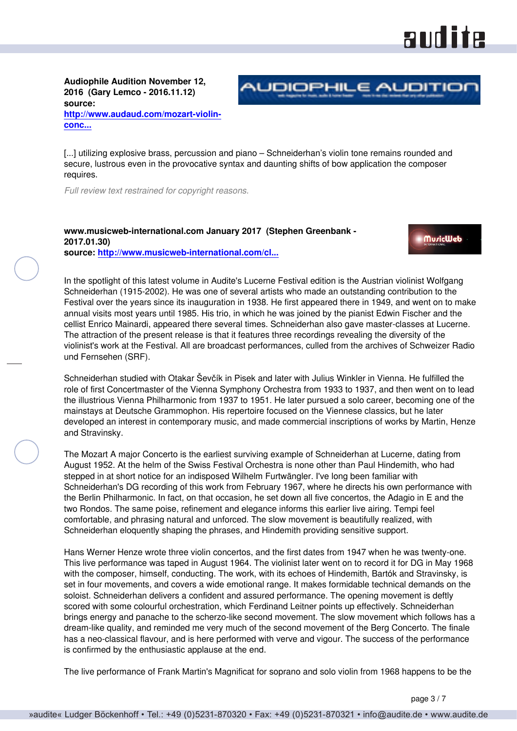# audite

**Audiophile Audition November 12, 2016 (Gary Lemco - 2016.11.12) source: [http://www.audaud.com/mozart-violin](http://www.audaud.com/mozart-violin-concerto-no-5-in-a-major-k-219-turkish-henze-violin-concerto-no-1-martin-magnificat-wolfgang)[conc...](http://www.audaud.com/mozart-violin-concerto-no-5-in-a-major-k-219-turkish-henze-violin-concerto-no-1-martin-magnificat-wolfgang)**



[...] utilizing explosive brass, percussion and piano – Schneiderhan's violin tone remains rounded and secure, lustrous even in the provocative syntax and daunting shifts of bow application the composer requires.

*Full review text restrained for copyright reasons.*

#### **www.musicweb-international.com January 2017 (Stephen Greenbank - 2017.01.30) source: [http://www.musicweb-international.com/cl...](http://www.musicweb-international.com/classrev/2017/Jan/Schneiderhan_Lucerne_95644.htm)**

**MuricWeb** 

In the spotlight of this latest volume in Audite's Lucerne Festival edition is the Austrian violinist Wolfgang Schneiderhan (1915-2002). He was one of several artists who made an outstanding contribution to the Festival over the years since its inauguration in 1938. He first appeared there in 1949, and went on to make annual visits most years until 1985. His trio, in which he was joined by the pianist Edwin Fischer and the cellist Enrico Mainardi, appeared there several times. Schneiderhan also gave master-classes at Lucerne. The attraction of the present release is that it features three recordings revealing the diversity of the violinist's work at the Festival. All are broadcast performances, culled from the archives of Schweizer Radio und Fernsehen (SRF).

Schneiderhan studied with Otakar Ševčík in Pisek and later with Julius Winkler in Vienna. He fulfilled the role of first Concertmaster of the Vienna Symphony Orchestra from 1933 to 1937, and then went on to lead the illustrious Vienna Philharmonic from 1937 to 1951. He later pursued a solo career, becoming one of the mainstays at Deutsche Grammophon. His repertoire focused on the Viennese classics, but he later developed an interest in contemporary music, and made commercial inscriptions of works by Martin, Henze and Stravinsky.

The Mozart A major Concerto is the earliest surviving example of Schneiderhan at Lucerne, dating from August 1952. At the helm of the Swiss Festival Orchestra is none other than Paul Hindemith, who had stepped in at short notice for an indisposed Wilhelm Furtwängler. I've long been familiar with Schneiderhan's DG recording of this work from February 1967, where he directs his own performance with the Berlin Philharmonic. In fact, on that occasion, he set down all five concertos, the Adagio in E and the two Rondos. The same poise, refinement and elegance informs this earlier live airing. Tempi feel comfortable, and phrasing natural and unforced. The slow movement is beautifully realized, with Schneiderhan eloquently shaping the phrases, and Hindemith providing sensitive support.

Hans Werner Henze wrote three violin concertos, and the first dates from 1947 when he was twenty-one. This live performance was taped in August 1964. The violinist later went on to record it for DG in May 1968 with the composer, himself, conducting. The work, with its echoes of Hindemith, Bartók and Stravinsky, is set in four movements, and covers a wide emotional range. It makes formidable technical demands on the soloist. Schneiderhan delivers a confident and assured performance. The opening movement is deftly scored with some colourful orchestration, which Ferdinand Leitner points up effectively. Schneiderhan brings energy and panache to the scherzo-like second movement. The slow movement which follows has a dream-like quality, and reminded me very much of the second movement of the Berg Concerto. The finale has a neo-classical flavour, and is here performed with verve and vigour. The success of the performance is confirmed by the enthusiastic applause at the end.

The live performance of Frank Martin's Magnificat for soprano and solo violin from 1968 happens to be the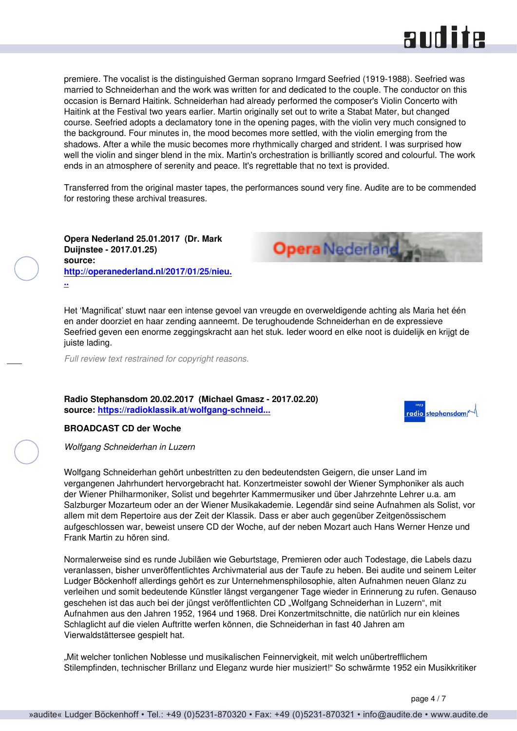

premiere. The vocalist is the distinguished German soprano Irmgard Seefried (1919-1988). Seefried was married to Schneiderhan and the work was written for and dedicated to the couple. The conductor on this occasion is Bernard Haitink. Schneiderhan had already performed the composer's Violin Concerto with Haitink at the Festival two years earlier. Martin originally set out to write a Stabat Mater, but changed course. Seefried adopts a declamatory tone in the opening pages, with the violin very much consigned to the background. Four minutes in, the mood becomes more settled, with the violin emerging from the shadows. After a while the music becomes more rhythmically charged and strident. I was surprised how well the violin and singer blend in the mix. Martin's orchestration is brilliantly scored and colourful. The work ends in an atmosphere of serenity and peace. It's regrettable that no text is provided.

Transferred from the original master tapes, the performances sound very fine. Audite are to be commended for restoring these archival treasures.

**Opera** Nederland

**Opera Nederland 25.01.2017 (Dr. Mark Duijnstee - 2017.01.25) source: [http://operanederland.nl/2017/01/25/nieu.](http://operanederland.nl/2017/01/25/nieuwe-cd-uitgaven-januari-2017/) [..](http://operanederland.nl/2017/01/25/nieuwe-cd-uitgaven-januari-2017/)**

Het 'Magnificat' stuwt naar een intense gevoel van vreugde en overweldigende achting als Maria het één en ander doorziet en haar zending aanneemt. De terughoudende Schneiderhan en de expressieve Seefried geven een enorme zeggingskracht aan het stuk. Ieder woord en elke noot is duidelijk en krijgt de juiste lading.

*Full review text restrained for copyright reasons.*

**Radio Stephansdom 20.02.2017 (Michael Gmasz - 2017.02.20) source: [https://radioklassik.at/wolfgang-schneid...](https://radioklassik.at/wolfgang-schneiderhan-in-luzern/)**



#### **BROADCAST CD der Woche**

*Wolfgang Schneiderhan in Luzern*

Wolfgang Schneiderhan gehört unbestritten zu den bedeutendsten Geigern, die unser Land im vergangenen Jahrhundert hervorgebracht hat. Konzertmeister sowohl der Wiener Symphoniker als auch der Wiener Philharmoniker, Solist und begehrter Kammermusiker und über Jahrzehnte Lehrer u.a. am Salzburger Mozarteum oder an der Wiener Musikakademie. Legendär sind seine Aufnahmen als Solist, vor allem mit dem Repertoire aus der Zeit der Klassik. Dass er aber auch gegenüber Zeitgenössischem aufgeschlossen war, beweist unsere CD der Woche, auf der neben Mozart auch Hans Werner Henze und Frank Martin zu hören sind.

Normalerweise sind es runde Jubiläen wie Geburtstage, Premieren oder auch Todestage, die Labels dazu veranlassen, bisher unveröffentlichtes Archivmaterial aus der Taufe zu heben. Bei audite und seinem Leiter Ludger Böckenhoff allerdings gehört es zur Unternehmensphilosophie, alten Aufnahmen neuen Glanz zu verleihen und somit bedeutende Künstler längst vergangener Tage wieder in Erinnerung zu rufen. Genauso geschehen ist das auch bei der jüngst veröffentlichten CD "Wolfgang Schneiderhan in Luzern", mit Aufnahmen aus den Jahren 1952, 1964 und 1968. Drei Konzertmitschnitte, die natürlich nur ein kleines Schlaglicht auf die vielen Auftritte werfen können, die Schneiderhan in fast 40 Jahren am Vierwaldstättersee gespielt hat.

"Mit welcher tonlichen Noblesse und musikalischen Feinnervigkeit, mit welch unübertrefflichem Stilempfinden, technischer Brillanz und Eleganz wurde hier musiziert!" So schwärmte 1952 ein Musikkritiker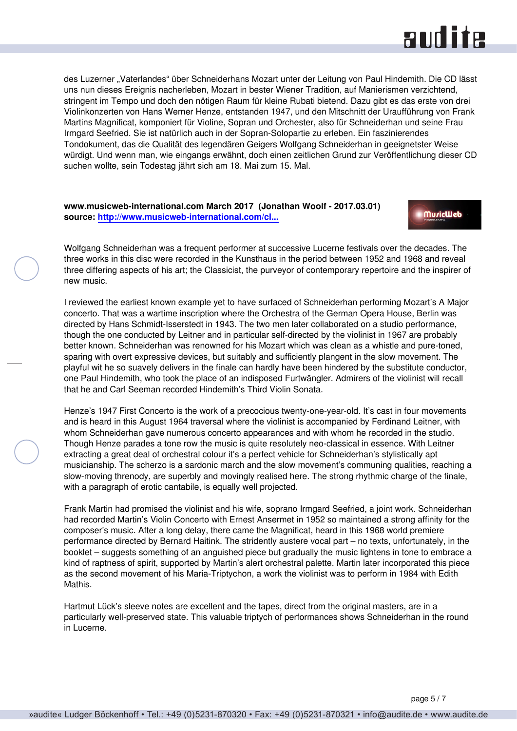## audite

des Luzerner "Vaterlandes" über Schneiderhans Mozart unter der Leitung von Paul Hindemith. Die CD lässt uns nun dieses Ereignis nacherleben, Mozart in bester Wiener Tradition, auf Manierismen verzichtend, stringent im Tempo und doch den nötigen Raum für kleine Rubati bietend. Dazu gibt es das erste von drei Violinkonzerten von Hans Werner Henze, entstanden 1947, und den Mitschnitt der Uraufführung von Frank Martins Magnificat, komponiert für Violine, Sopran und Orchester, also für Schneiderhan und seine Frau Irmgard Seefried. Sie ist natürlich auch in der Sopran-Solopartie zu erleben. Ein faszinierendes Tondokument, das die Qualität des legendären Geigers Wolfgang Schneiderhan in geeignetster Weise würdigt. Und wenn man, wie eingangs erwähnt, doch einen zeitlichen Grund zur Veröffentlichung dieser CD suchen wollte, sein Todestag jährt sich am 18. Mai zum 15. Mal.

#### **www.musicweb-international.com March 2017 (Jonathan Woolf - 2017.03.01) source: [http://www.musicweb-international.com/cl...](http://www.musicweb-international.com/classrev/2017/Mar/Schneiderhan_Lucerne_95644.htm)**

**MuricWeb** 

Wolfgang Schneiderhan was a frequent performer at successive Lucerne festivals over the decades. The three works in this disc were recorded in the Kunsthaus in the period between 1952 and 1968 and reveal three differing aspects of his art; the Classicist, the purveyor of contemporary repertoire and the inspirer of new music.

I reviewed the earliest known example yet to have surfaced of Schneiderhan performing Mozart's A Major concerto. That was a wartime inscription where the Orchestra of the German Opera House, Berlin was directed by Hans Schmidt-Isserstedt in 1943. The two men later collaborated on a studio performance, though the one conducted by Leitner and in particular self-directed by the violinist in 1967 are probably better known. Schneiderhan was renowned for his Mozart which was clean as a whistle and pure-toned, sparing with overt expressive devices, but suitably and sufficiently plangent in the slow movement. The playful wit he so suavely delivers in the finale can hardly have been hindered by the substitute conductor, one Paul Hindemith, who took the place of an indisposed Furtwängler. Admirers of the violinist will recall that he and Carl Seeman recorded Hindemith's Third Violin Sonata.

Henze's 1947 First Concerto is the work of a precocious twenty-one-year-old. It's cast in four movements and is heard in this August 1964 traversal where the violinist is accompanied by Ferdinand Leitner, with whom Schneiderhan gave numerous concerto appearances and with whom he recorded in the studio. Though Henze parades a tone row the music is quite resolutely neo-classical in essence. With Leitner extracting a great deal of orchestral colour it's a perfect vehicle for Schneiderhan's stylistically apt musicianship. The scherzo is a sardonic march and the slow movement's communing qualities, reaching a slow-moving threnody, are superbly and movingly realised here. The strong rhythmic charge of the finale, with a paragraph of erotic cantabile, is equally well projected.

Frank Martin had promised the violinist and his wife, soprano Irmgard Seefried, a joint work. Schneiderhan had recorded Martin's Violin Concerto with Ernest Ansermet in 1952 so maintained a strong affinity for the composer's music. After a long delay, there came the Magnificat, heard in this 1968 world premiere performance directed by Bernard Haitink. The stridently austere vocal part – no texts, unfortunately, in the booklet – suggests something of an anguished piece but gradually the music lightens in tone to embrace a kind of raptness of spirit, supported by Martin's alert orchestral palette. Martin later incorporated this piece as the second movement of his Maria-Triptychon, a work the violinist was to perform in 1984 with Edith Mathis.

Hartmut Lück's sleeve notes are excellent and the tapes, direct from the original masters, are in a particularly well-preserved state. This valuable triptych of performances shows Schneiderhan in the round in Lucerne.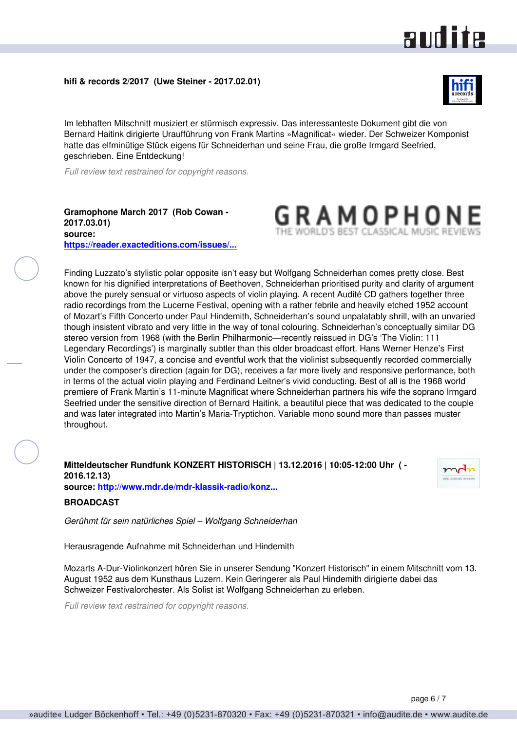# **andite**

**hifi & records 2/2017 (Uwe Steiner - 2017.02.01)**



Im lebhaften Mitschnitt musiziert er stürmisch expressiv. Das interessanteste Dokument gibt die von Bernard Haitink dirigierte Uraufführung von Frank Martins »Magnificat« wieder. Der Schweizer Komponist hatte das elfminütige Stück eigens für Schneiderhan und seine Frau, die große Irmgard Seefried, geschrieben. Eine Entdeckung!

*Full review text restrained for copyright reasons.*

**Gramophone March 2017 (Rob Cowan - 2017.03.01) source: [https://reader.exacteditions.com/issues/...](https://reader.exacteditions.com/issues/55356/page/107)**



Finding Luzzato's stylistic polar opposite isn't easy but Wolfgang Schneiderhan comes pretty close. Best known for his dignified interpretations of Beethoven, Schneiderhan prioritised purity and clarity of argument above the purely sensual or virtuoso aspects of violin playing. A recent Audité CD gathers together three radio recordings from the Lucerne Festival, opening with a rather febrile and heavily etched 1952 account of Mozart's Fifth Concerto under Paul Hindemith, Schneiderhan's sound unpalatably shrill, with an unvaried though insistent vibrato and very little in the way of tonal colouring. Schneiderhan's conceptually similar DG stereo version from 1968 (with the Berlin Philharmonic—recently reissued in DG's 'The Violin: 111 Legendary Recordings') is marginally subtler than this older broadcast effort. Hans Werner Henze's First Violin Concerto of 1947, a concise and eventful work that the violinist subsequently recorded commercially under the composer's direction (again for DG), receives a far more lively and responsive performance, both in terms of the actual violin playing and Ferdinand Leitner's vivid conducting. Best of all is the 1968 world premiere of Frank Martin's 11-minute Magnificat where Schneiderhan partners his wife the soprano Irmgard Seefried under the sensitive direction of Bernard Haitink, a beautiful piece that was dedicated to the couple and was later integrated into Martin's Maria-Tryptichon. Variable mono sound more than passes muster throughout.

**Mitteldeutscher Rundfunk KONZERT HISTORISCH | 13.12.2016 | 10:05-12:00 Uhr ( - 2016.12.13) source: [http://www.mdr.de/mdr-klassik-radio/konz...](http://www.mdr.de/mdr-klassik-radio/konzert-historisch-wolfgang-schneiderhan-100.html)**



**BROADCAST**

*Gerühmt für sein natürliches Spiel – Wolfgang Schneiderhan*

Herausragende Aufnahme mit Schneiderhan und Hindemith

Mozarts A-Dur-Violinkonzert hören Sie in unserer Sendung "Konzert Historisch" in einem Mitschnitt vom 13. August 1952 aus dem Kunsthaus Luzern. Kein Geringerer als Paul Hindemith dirigierte dabei das Schweizer Festivalorchester. Als Solist ist Wolfgang Schneiderhan zu erleben.

*Full review text restrained for copyright reasons.*